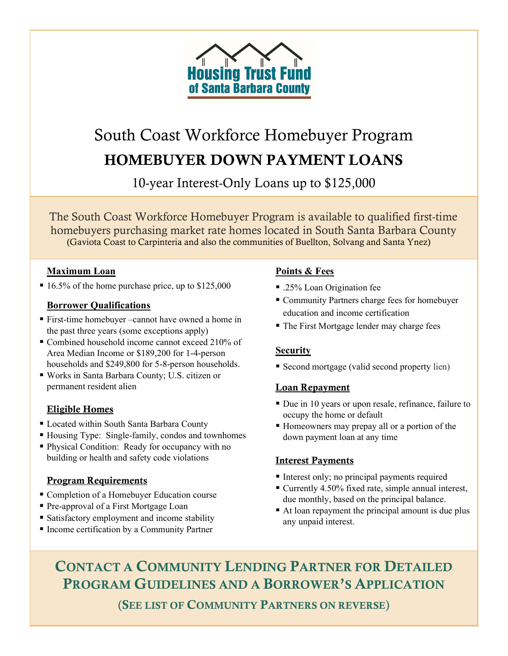

# South Coast Workforce Homebuyer Program HOMEBUYER DOWN PAYMENT LOANS

10-year Interest-Only Loans up to \$125,000

The South Coast Workforce Homebuyer Program is available to qualified first-time homebuyers purchasing market rate homes located in South Santa Barbara County (Gaviota Coast to Carpinteria and also the communities of Buellton, Solvang and Santa Ynez)

#### Maximum Loan

 $\blacksquare$  16.5% of the home purchase price, up to \$125,000

#### Borrower Qualifications

- First-time homebuyer –cannot have owned a home in the past three years (some exceptions apply)
- Combined household income cannot exceed 210% of Area Median Income or \$189,200 for 1-4-person households and \$249,800 for 5-8-person households.
- Works in Santa Barbara County; U.S. citizen or permanent resident alien

#### Eligible Homes

- Located within South Santa Barbara County
- Housing Type: Single-family, condos and townhomes
- Physical Condition: Ready for occupancy with no building or health and safety code violations

#### Program Requirements

- Completion of a Homebuyer Education course
- Pre-approval of a First Mortgage Loan
- Satisfactory employment and income stability
- Income certification by a Community Partner

#### Points & Fees

- .25% Loan Origination fee
- Community Partners charge fees for homebuyer education and income certification
- The First Mortgage lender may charge fees

#### **Security**

Second mortgage (valid second property lien)

#### Loan Repayment

- Due in 10 years or upon resale, refinance, failure to occupy the home or default
- Homeowners may prepay all or a portion of the down payment loan at any time

#### Interest Payments

- Interest only; no principal payments required
- Currently 4.50% fixed rate, simple annual interest, due monthly, based on the principal balance.
- At loan repayment the principal amount is due plus any unpaid interest.

CONTACT A COMMUNITY LENDING PARTNER FOR DETAILED PROGRAM GUIDELINES AND A BORROWER'S APPLICATION

(SEE LIST OF COMMUNITY PARTNERS ON REVERSE)